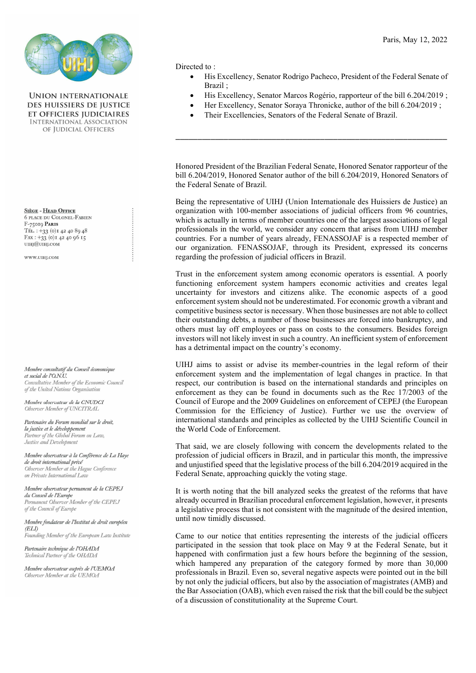

**UNION INTERNATIONALE DES HUISSIERS DE IUSTICE** ET OFFICIERS JUDICIAIRES **INTERNATIONAL ASSOCIATION** OF JUDICIAL OFFICERS

SIÈGE - HEAD OFFICE **6 PLACE DU COLONEL-FABIEN** F-75019 PARIS TÉL.: +33 (0) 1 42 40 89 48 FAX: +33 (0) 1 42 40 96 15 umj@umj.com

WWW.UIHJ.COM

Membre consultatif du Conseil économique et social de l'O.N.U. Consultative Member of the Economic Council of the United Nations Organisation

Membre observateur de la CNUDCI Observer Member of UNCITRAL

Partenaire du Forum mondial sur le droit, la justice et le développement Partner of the Global Forum on Law, Justice and Development

Membre observateur à la Conférence de La Haye de droit international privé Observer Member at the Hague Conference on Private International Law

Membre observateur permanent de la CEPEJ du Conseil de l'Europe Permanent Observer Member of the CEPEJ of the Council of Europe

Membre fondateur de l'Institut de droit européen  $(ELI)$ Founding Member of the European Law Institute

Partenaire technique de l'OHADA Technical Partner of the OHADA

Membre observateur auprès de l'UEMOA Observer Member at the UEMOA

Directed to :

- His Excellency, Senator Rodrigo Pacheco, President of the Federal Senate of Brazil ;
- His Excellency, Senator Marcos Rogério, rapporteur of the bill 6.204/2019 ;
- Her Excellency, Senator Soraya Thronicke, author of the bill 6.204/2019 ;
- Their Excellencies, Senators of the Federal Senate of Brazil.

Honored President of the Brazilian Federal Senate, Honored Senator rapporteur of the bill 6.204/2019, Honored Senator author of the bill 6.204/2019, Honored Senators of the Federal Senate of Brazil.

\_\_\_\_\_\_\_\_\_\_\_\_\_\_\_\_\_\_\_\_\_\_\_\_\_\_\_\_\_\_\_\_\_\_\_\_\_\_\_\_\_\_\_\_\_\_\_\_\_\_\_\_\_\_\_\_\_\_\_\_\_\_

Being the representative of UIHJ (Union Internationale des Huissiers de Justice) an organization with 100-member associations of judicial officers from 96 countries, which is actually in terms of member countries one of the largest associations of legal professionals in the world, we consider any concern that arises from UIHJ member countries. For a number of years already, FENASSOJAF is a respected member of our organization. FENASSOJAF, through its President, expressed its concerns regarding the profession of judicial officers in Brazil.

Trust in the enforcement system among economic operators is essential. A poorly functioning enforcement system hampers economic activities and creates legal uncertainty for investors and citizens alike. The economic aspects of a good enforcement system should not be underestimated. For economic growth a vibrant and competitive business sector is necessary. When those businesses are not able to collect their outstanding debts, a number of those businesses are forced into bankruptcy, and others must lay off employees or pass on costs to the consumers. Besides foreign investors will not likely invest in such a country. An inefficient system of enforcement has a detrimental impact on the country's economy.

UIHJ aims to assist or advise its member-countries in the legal reform of their enforcement system and the implementation of legal changes in practice. In that respect, our contribution is based on the international standards and principles on enforcement as they can be found in documents such as the Rec 17/2003 of the Council of Europe and the 2009 Guidelines on enforcement of CEPEJ (the European Commission for the Efficiency of Justice). Further we use the overview of international standards and principles as collected by the UIHJ Scientific Council in the World Code of Enforcement.

That said, we are closely following with concern the developments related to the profession of judicial officers in Brazil, and in particular this month, the impressive and unjustified speed that the legislative process of the bill 6.204/2019 acquired in the Federal Senate, approaching quickly the voting stage.

It is worth noting that the bill analyzed seeks the greatest of the reforms that have already occurred in Brazilian procedural enforcement legislation, however, it presents a legislative process that is not consistent with the magnitude of the desired intention, until now timidly discussed.

Came to our notice that entities representing the interests of the judicial officers participated in the session that took place on May 9 at the Federal Senate, but it happened with confirmation just a few hours before the beginning of the session, which hampered any preparation of the category formed by more than 30,000 professionals in Brazil. Even so, several negative aspects were pointed out in the bill by not only the judicial officers, but also by the association of magistrates (AMB) and the Bar Association (OAB), which even raised the risk that the bill could be the subject of a discussion of constitutionality at the Supreme Court.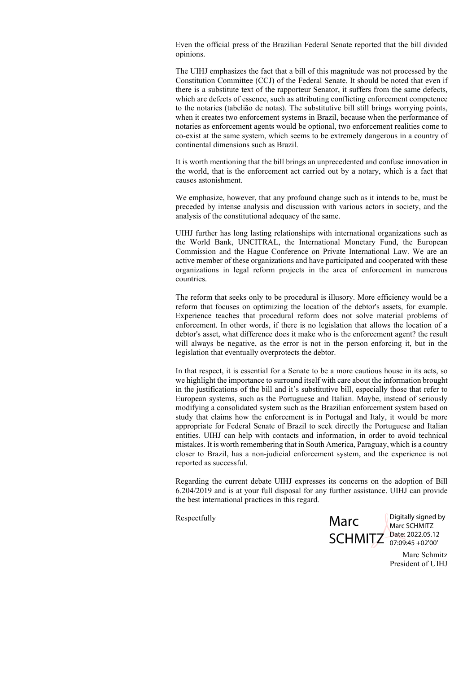Even the official press of the Brazilian Federal Senate reported that the bill divided opinions.

The UIHJ emphasizes the fact that a bill of this magnitude was not processed by the Constitution Committee (CCJ) of the Federal Senate. It should be noted that even if there is a substitute text of the rapporteur Senator, it suffers from the same defects, which are defects of essence, such as attributing conflicting enforcement competence to the notaries (tabelião de notas). The substitutive bill still brings worrying points, when it creates two enforcement systems in Brazil, because when the performance of notaries as enforcement agents would be optional, two enforcement realities come to co-exist at the same system, which seems to be extremely dangerous in a country of continental dimensions such as Brazil.

It is worth mentioning that the bill brings an unprecedented and confuse innovation in the world, that is the enforcement act carried out by a notary, which is a fact that causes astonishment.

We emphasize, however, that any profound change such as it intends to be, must be preceded by intense analysis and discussion with various actors in society, and the analysis of the constitutional adequacy of the same.

UIHJ further has long lasting relationships with international organizations such as the World Bank, UNCITRAL, the International Monetary Fund, the European Commission and the Hague Conference on Private International Law. We are an active member of these organizations and have participated and cooperated with these organizations in legal reform projects in the area of enforcement in numerous countries.

The reform that seeks only to be procedural is illusory. More efficiency would be a reform that focuses on optimizing the location of the debtor's assets, for example. Experience teaches that procedural reform does not solve material problems of enforcement. In other words, if there is no legislation that allows the location of a debtor's asset, what difference does it make who is the enforcement agent? the result will always be negative, as the error is not in the person enforcing it, but in the legislation that eventually overprotects the debtor.

In that respect, it is essential for a Senate to be a more cautious house in its acts, so we highlight the importance to surround itself with care about the information brought in the justifications of the bill and it's substitutive bill, especially those that refer to European systems, such as the Portuguese and Italian. Maybe, instead of seriously modifying a consolidated system such as the Brazilian enforcement system based on study that claims how the enforcement is in Portugal and Italy, it would be more appropriate for Federal Senate of Brazil to seek directly the Portuguese and Italian entities. UIHJ can help with contacts and information, in order to avoid technical mistakes. It is worth remembering that in South America, Paraguay, which is a country closer to Brazil, has a non-judicial enforcement system, and the experience is not reported as successful.

Regarding the current debate UIHJ expresses its concerns on the adoption of Bill 6.204/2019 and is at your full disposal for any further assistance. UIHJ can provide the best international practices in this regard.

Respectfully

Marc SCHMITZ Date: 2022.05.12

Digitally signed by Marc SCHMITZ 07:09:45 +02'00'

Marc Schmitz President of UIHJ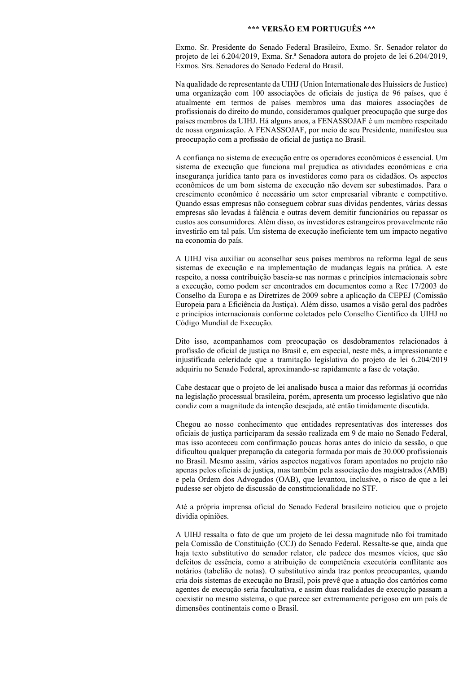## \*\*\* VERSÃO EM PORTUGUÊS \*\*\*

Exmo. Sr. Presidente do Senado Federal Brasileiro, Exmo. Sr. Senador relator do projeto de lei 6.204/2019, Exma. Sr.ª Senadora autora do projeto de lei 6.204/2019, Exmos. Srs. Senadores do Senado Federal do Brasil.

Na qualidade de representante da UIHJ (Union Internationale des Huissiers de Justice) uma organização com 100 associações de oficiais de justiça de 96 países, que é atualmente em termos de países membros uma das maiores associações de profissionais do direito do mundo, consideramos qualquer preocupação que surge dos países membros da UIHJ. Há alguns anos, a FENASSOJAF é um membro respeitado de nossa organização. A FENASSOJAF, por meio de seu Presidente, manifestou sua preocupação com a profissão de oficial de justiça no Brasil.

A confiança no sistema de execução entre os operadores econômicos é essencial. Um sistema de execução que funciona mal prejudica as atividades econômicas e cria insegurança jurídica tanto para os investidores como para os cidadãos. Os aspectos econômicos de um bom sistema de execução não devem ser subestimados. Para o crescimento econômico é necessário um setor empresarial vibrante e competitivo. Quando essas empresas não conseguem cobrar suas dívidas pendentes, várias dessas empresas são levadas à falência e outras devem demitir funcionários ou repassar os custos aos consumidores. Além disso, os investidores estrangeiros provavelmente não investirão em tal país. Um sistema de execução ineficiente tem um impacto negativo na economia do país.

A UIHJ visa auxiliar ou aconselhar seus países membros na reforma legal de seus sistemas de execução e na implementação de mudanças legais na prática. A este respeito, a nossa contribuição baseia-se nas normas e princípios internacionais sobre a execução, como podem ser encontrados em documentos como a Rec 17/2003 do Conselho da Europa e as Diretrizes de 2009 sobre a aplicação da CEPEJ (Comissão Europeia para a Eficiência da Justiça). Além disso, usamos a visão geral dos padrões e princípios internacionais conforme coletados pelo Conselho Científico da UIHJ no Código Mundial de Execução.

Dito isso, acompanhamos com preocupação os desdobramentos relacionados à profissão de oficial de justiça no Brasil e, em especial, neste mês, a impressionante e injustificada celeridade que a tramitação legislativa do projeto de lei 6.204/2019 adquiriu no Senado Federal, aproximando-se rapidamente a fase de votação.

Cabe destacar que o projeto de lei analisado busca a maior das reformas já ocorridas na legislação processual brasileira, porém, apresenta um processo legislativo que não condiz com a magnitude da intenção desejada, até então timidamente discutida.

Chegou ao nosso conhecimento que entidades representativas dos interesses dos oficiais de justiça participaram da sessão realizada em 9 de maio no Senado Federal, mas isso aconteceu com confirmação poucas horas antes do início da sessão, o que dificultou qualquer preparação da categoria formada por mais de 30.000 profissionais no Brasil. Mesmo assim, vários aspectos negativos foram apontados no projeto não apenas pelos oficiais de justiça, mas também pela associação dos magistrados (AMB) e pela Ordem dos Advogados (OAB), que levantou, inclusive, o risco de que a lei pudesse ser objeto de discussão de constitucionalidade no STF.

Até a própria imprensa oficial do Senado Federal brasileiro noticiou que o projeto dividia opiniões.

A UIHJ ressalta o fato de que um projeto de lei dessa magnitude não foi tramitado pela Comissão de Constituição (CCJ) do Senado Federal. Ressalte-se que, ainda que haja texto substitutivo do senador relator, ele padece dos mesmos vícios, que são defeitos de essência, como a atribuição de competência executória conflitante aos notários (tabelião de notas). O substitutivo ainda traz pontos preocupantes, quando cria dois sistemas de execução no Brasil, pois prevê que a atuação dos cartórios como agentes de execução seria facultativa, e assim duas realidades de execução passam a coexistir no mesmo sistema, o que parece ser extremamente perigoso em um país de dimensões continentais como o Brasil.